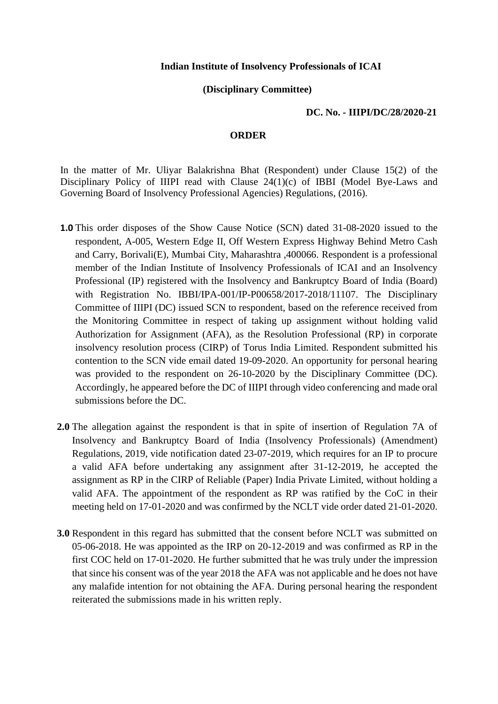## **Indian Institute of Insolvency Professionals of ICAI**

## **(Disciplinary Committee)**

## **DC. No. - IIIPI/DC/28/2020-21**

## **ORDER**

In the matter of Mr. Uliyar Balakrishna Bhat (Respondent) under Clause 15(2) of the Disciplinary Policy of IIIPI read with Clause 24(1)(c) of IBBI (Model Bye-Laws and Governing Board of Insolvency Professional Agencies) Regulations, (2016).

- **1.0** This order disposes of the Show Cause Notice (SCN) dated 31-08-2020 issued to the respondent, A-005, Western Edge II, Off Western Express Highway Behind Metro Cash and Carry, Borivali(E), Mumbai City, Maharashtra ,400066. Respondent is a professional member of the Indian Institute of Insolvency Professionals of ICAI and an Insolvency Professional (IP) registered with the Insolvency and Bankruptcy Board of India (Board) with Registration No. IBBI/IPA-001/IP-P00658/2017-2018/11107. The Disciplinary Committee of IIIPI (DC) issued SCN to respondent, based on the reference received from the Monitoring Committee in respect of taking up assignment without holding valid Authorization for Assignment (AFA), as the Resolution Professional (RP) in corporate insolvency resolution process (CIRP) of Torus India Limited. Respondent submitted his contention to the SCN vide email dated 19-09-2020. An opportunity for personal hearing was provided to the respondent on 26-10-2020 by the Disciplinary Committee (DC). Accordingly, he appeared before the DC of IIIPI through video conferencing and made oral submissions before the DC.
- **2.0** The allegation against the respondent is that in spite of insertion of Regulation 7A of Insolvency and Bankruptcy Board of India (Insolvency Professionals) (Amendment) Regulations, 2019, vide notification dated 23-07-2019, which requires for an IP to procure a valid AFA before undertaking any assignment after 31-12-2019, he accepted the assignment as RP in the CIRP of Reliable (Paper) India Private Limited, without holding a valid AFA. The appointment of the respondent as RP was ratified by the CoC in their meeting held on 17-01-2020 and was confirmed by the NCLT vide order dated 21-01-2020.
- **3.0** Respondent in this regard has submitted that the consent before NCLT was submitted on 05-06-2018. He was appointed as the IRP on 20-12-2019 and was confirmed as RP in the first COC held on 17-01-2020. He further submitted that he was truly under the impression that since his consent was of the year 2018 the AFA was not applicable and he does not have any malafide intention for not obtaining the AFA. During personal hearing the respondent reiterated the submissions made in his written reply.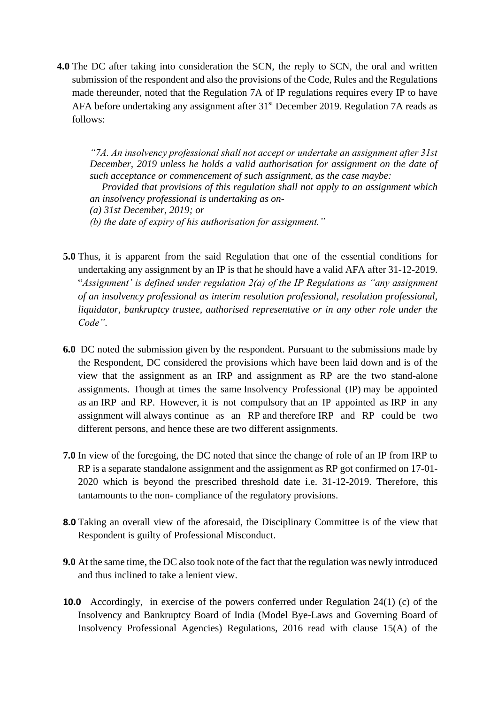**4.0** The DC after taking into consideration the SCN, the reply to SCN, the oral and written submission of the respondent and also the provisions of the Code, Rules and the Regulations made thereunder, noted that the Regulation 7A of IP regulations requires every IP to have AFA before undertaking any assignment after 31<sup>st</sup> December 2019. Regulation 7A reads as follows:

*"7A. An insolvency professional shall not accept or undertake an assignment after 31st December, 2019 unless he holds a valid authorisation for assignment on the date of such acceptance or commencement of such assignment, as the case maybe:* 

*Provided that provisions of this regulation shall not apply to an assignment which an insolvency professional is undertaking as on-*

*(a) 31st December, 2019; or* 

*(b) the date of expiry of his authorisation for assignment."*

- **5.0** Thus, it is apparent from the said Regulation that one of the essential conditions for undertaking any assignment by an IP is that he should have a valid AFA after 31-12-2019. "*Assignment' is defined under regulation 2(a) of the IP Regulations as "any assignment of an insolvency professional as interim resolution professional, resolution professional, liquidator, bankruptcy trustee, authorised representative or in any other role under the Code"*.
- **6.0** DC noted the submission given by the respondent. Pursuant to the submissions made by the Respondent, DC considered the provisions which have been laid down and is of the view that the assignment as an IRP and assignment as RP are the two stand-alone assignments. Though at times the same Insolvency Professional (IP) may be appointed as an IRP and RP. However, it is not compulsory that an IP appointed as IRP in any assignment will always continue as an RP and therefore IRP and RP could be two different persons, and hence these are two different assignments.
- **7.0** In view of the foregoing, the DC noted that since the change of role of an IP from IRP to RP is a separate standalone assignment and the assignment as RP got confirmed on 17-01- 2020 which is beyond the prescribed threshold date i.e. 31-12-2019. Therefore, this tantamounts to the non- compliance of the regulatory provisions.
- **8.0** Taking an overall view of the aforesaid, the Disciplinary Committee is of the view that Respondent is guilty of Professional Misconduct.
- **9.0** At the same time, the DC also took note of the fact that the regulation was newly introduced and thus inclined to take a lenient view.
- **10.0** Accordingly, in exercise of the powers conferred under Regulation 24(1) (c) of the Insolvency and Bankruptcy Board of India (Model Bye-Laws and Governing Board of Insolvency Professional Agencies) Regulations, 2016 read with clause 15(A) of the